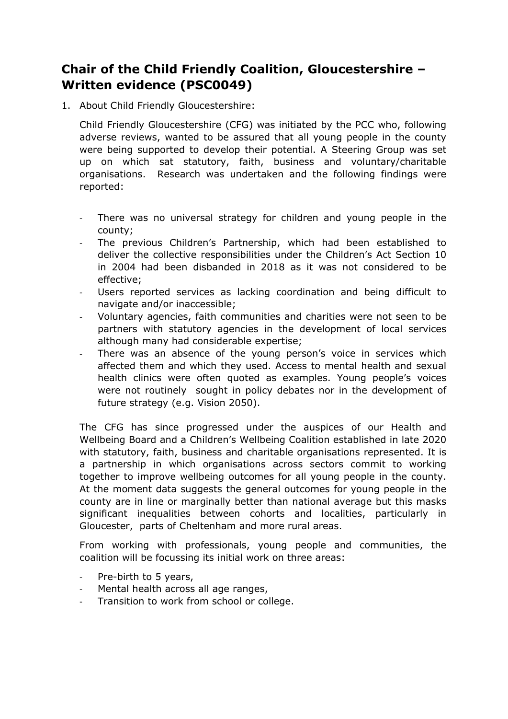## **Chair of the Child Friendly Coalition, Gloucestershire – Written evidence (PSC0049)**

1. About Child Friendly Gloucestershire:

Child Friendly Gloucestershire (CFG) was initiated by the PCC who, following adverse reviews, wanted to be assured that all young people in the county were being supported to develop their potential. A Steering Group was set up on which sat statutory, faith, business and voluntary/charitable organisations. Research was undertaken and the following findings were reported:

- There was no universal strategy for children and young people in the county;
- The previous Children's Partnership, which had been established to deliver the collective responsibilities under the Children's Act Section 10 in 2004 had been disbanded in 2018 as it was not considered to be effective;
- Users reported services as lacking coordination and being difficult to navigate and/or inaccessible;
- Voluntary agencies, faith communities and charities were not seen to be partners with statutory agencies in the development of local services although many had considerable expertise;
- There was an absence of the young person's voice in services which affected them and which they used. Access to mental health and sexual health clinics were often quoted as examples. Young people's voices were not routinely sought in policy debates nor in the development of future strategy (e.g. Vision 2050).

The CFG has since progressed under the auspices of our Health and Wellbeing Board and a Children's Wellbeing Coalition established in late 2020 with statutory, faith, business and charitable organisations represented. It is a partnership in which organisations across sectors commit to working together to improve wellbeing outcomes for all young people in the county. At the moment data suggests the general outcomes for young people in the county are in line or marginally better than national average but this masks significant inequalities between cohorts and localities, particularly in Gloucester, parts of Cheltenham and more rural areas.

From working with professionals, young people and communities, the coalition will be focussing its initial work on three areas:

- Pre-birth to 5 years,
- Mental health across all age ranges,
- Transition to work from school or college.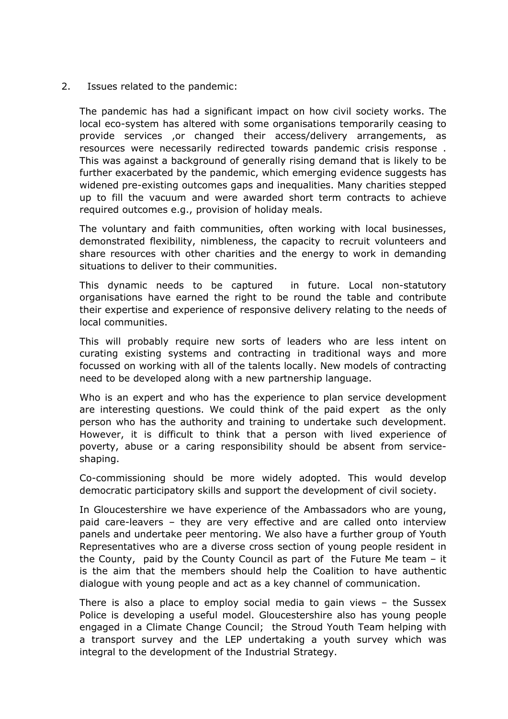2. Issues related to the pandemic:

The pandemic has had a significant impact on how civil society works. The local eco-system has altered with some organisations temporarily ceasing to provide services ,or changed their access/delivery arrangements, as resources were necessarily redirected towards pandemic crisis response . This was against a background of generally rising demand that is likely to be further exacerbated by the pandemic, which emerging evidence suggests has widened pre-existing outcomes gaps and inequalities. Many charities stepped up to fill the vacuum and were awarded short term contracts to achieve required outcomes e.g., provision of holiday meals.

The voluntary and faith communities, often working with local businesses, demonstrated flexibility, nimbleness, the capacity to recruit volunteers and share resources with other charities and the energy to work in demanding situations to deliver to their communities.

This dynamic needs to be captured in future. Local non-statutory organisations have earned the right to be round the table and contribute their expertise and experience of responsive delivery relating to the needs of local communities.

This will probably require new sorts of leaders who are less intent on curating existing systems and contracting in traditional ways and more focussed on working with all of the talents locally. New models of contracting need to be developed along with a new partnership language.

Who is an expert and who has the experience to plan service development are interesting questions. We could think of the paid expert as the only person who has the authority and training to undertake such development. However, it is difficult to think that a person with lived experience of poverty, abuse or a caring responsibility should be absent from serviceshaping.

Co-commissioning should be more widely adopted. This would develop democratic participatory skills and support the development of civil society.

In Gloucestershire we have experience of the Ambassadors who are young, paid care-leavers – they are very effective and are called onto interview panels and undertake peer mentoring. We also have a further group of Youth Representatives who are a diverse cross section of young people resident in the County, paid by the County Council as part of the Future Me team – it is the aim that the members should help the Coalition to have authentic dialogue with young people and act as a key channel of communication.

There is also a place to employ social media to gain views – the Sussex Police is developing a useful model. Gloucestershire also has young people engaged in a Climate Change Council; the Stroud Youth Team helping with a transport survey and the LEP undertaking a youth survey which was integral to the development of the Industrial Strategy.